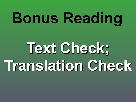# **Bonus Reading**

# **Text Check; Translation Check**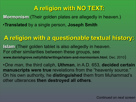## **A religion with NO TEXT:**

**Mormonism** (Their golden plates are allegedly in heaven.)

•**Translated** by a single person, **Joseph Smith**

### **A religion with a questionable textual history:**

**Islam** (Their golden tablet is also allegedly in heaven. For other similarities between these groups, see **www.danishgrove.net/yildiz/writings/islam-and-mormonism.html**, Dec. 2010)

•*One man*, the third caliph, **Uthman**, in A.D. 653, **decided certain manuscripts were true** revelations from the "heavenly source." On his own authority, he **distinguished** them from Muhammad's other utterances **then destroyed all others**.

- 
- 
-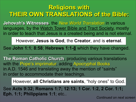### **Religions with THEIR OWN TRANSLATIONS of the Bible:**

**Jehovah's Witnesses**, the *New World Translation* in various languages, by the Watch Tower Bible and Tract Society, mostly in order to teach that Jesus is a created being and is not eternal.

However, **Jesus is God**, the **Creator**, and is **eternal**.

See **John 1:1**; **8:58**; **Hebrews 1:1-8** which they have changed.

**The Roman Catholic Church**, producing various translations with the Pope's imprimatur, adding Apocryphal Books in A.D. 1546 and translating away the mention of "saints" in order to accommodate their teachings.

However, **all Christians are saints**, "holy ones" to God.

See **Acts 9:32; Romans 1:7; 12:13; 1 Cor. 1:2, 2 Cor. 1:1; Eph. 1:1; Philippians 1:1**; etc..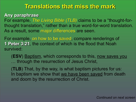### **Translations that miss the mark**

### **Any paraphrase**

For example, *The Living Bible (TLB)* claims to be a "thought-forthought translation," rather than a true word-for-word translation. As a result, some major differences are seen.

(**ESV**) Baptism, which corresponds to this, now saves you ... through the resurrection of Jesus Christ,

For example, on how to be saved, compare renderings of **1 Peter 3:21**, the context of which is the flood that Noah survived:

(**TLB**) That, by the way, is what baptism pictures for us: In baptism we show that we have been saved from death and doom by the resurrection of Christ.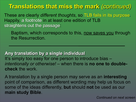### **Translations that miss the mark** *(continued)*

These are clearly *different thoughts*, so TLB fails in its purpose. Happily, a footnote in at least one edition of TLB straightens out the passage:

Baptism, which corresponds to this, now saves you through the Resurrection.

**Any translation by a single individual** It's simply too easy for one person to introduce bias *intentionally or otherwise!* – when there is **no one to doublecheck** the work.

A translation by a single person may serve as an **interesting** point of comparison, as different wording may help us focus on some of the ideas differently, **but** should **not** be used as our **main study Bible**.